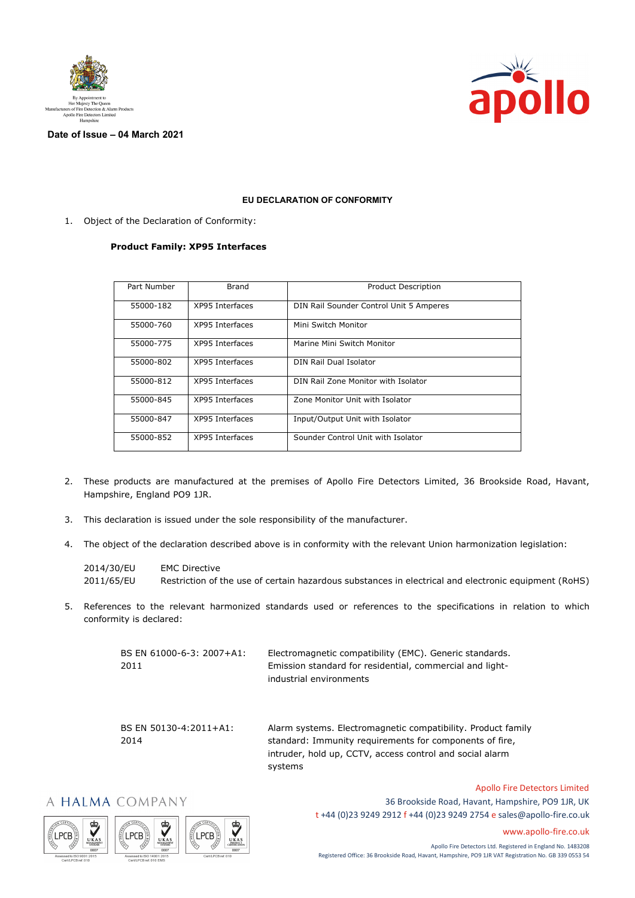



**Date of Issue – 04 March 2021**

## **EU DECLARATION OF CONFORMITY**

1. Object of the Declaration of Conformity:

## **Product Family: XP95 Interfaces**

| Part Number | Brand           | <b>Product Description</b>              |
|-------------|-----------------|-----------------------------------------|
| 55000-182   | XP95 Interfaces | DIN Rail Sounder Control Unit 5 Amperes |
| 55000-760   | XP95 Interfaces | Mini Switch Monitor                     |
| 55000-775   | XP95 Interfaces | Marine Mini Switch Monitor              |
| 55000-802   | XP95 Interfaces | DIN Rail Dual Isolator                  |
| 55000-812   | XP95 Interfaces | DIN Rail Zone Monitor with Isolator     |
| 55000-845   | XP95 Interfaces | Zone Monitor Unit with Isolator         |
| 55000-847   | XP95 Interfaces | Input/Output Unit with Isolator         |
| 55000-852   | XP95 Interfaces | Sounder Control Unit with Isolator      |

- 2. These products are manufactured at the premises of Apollo Fire Detectors Limited, 36 Brookside Road, Havant, Hampshire, England PO9 1JR.
- 3. This declaration is issued under the sole responsibility of the manufacturer.
- 4. The object of the declaration described above is in conformity with the relevant Union harmonization legislation:

| 2014/30/EU | <b>EMC Directive</b>                                                                                 |
|------------|------------------------------------------------------------------------------------------------------|
| 2011/65/EU | Restriction of the use of certain hazardous substances in electrical and electronic equipment (RoHS) |

5. References to the relevant harmonized standards used or references to the specifications in relation to which conformity is declared:

| BS EN 61000-6-3: 2007+A1: | Electromagnetic compatibility (EMC). Generic standards.  |
|---------------------------|----------------------------------------------------------|
| 2011                      | Emission standard for residential, commercial and light- |
|                           | industrial environments                                  |
|                           |                                                          |
|                           |                                                          |

BS EN 50130-4:2011+A1: 2014

Alarm systems. Electromagnetic compatibility. Product family standard: Immunity requirements for components of fire, intruder, hold up, CCTV, access control and social alarm systems

## A HALMA COMPANY







36 Brookside Road, Havant, Hampshire, PO9 1JR, UK t +44 (0)23 9249 2912 f +44 (0)23 9249 2754 [e sales@apollo-fire.co.uk](mailto:sales@apollo-fire.co.uk)

[www.apollo-fire.co.uk](http://www.apollo-fire.co.uk/)

Apollo Fire Detectors Limited

Apollo Fire Detectors Ltd. Registered in England No. 1483208 Registered Office: 36 Brookside Road, Havant, Hampshire, PO9 1JR VAT Registration No. GB 339 0553 54